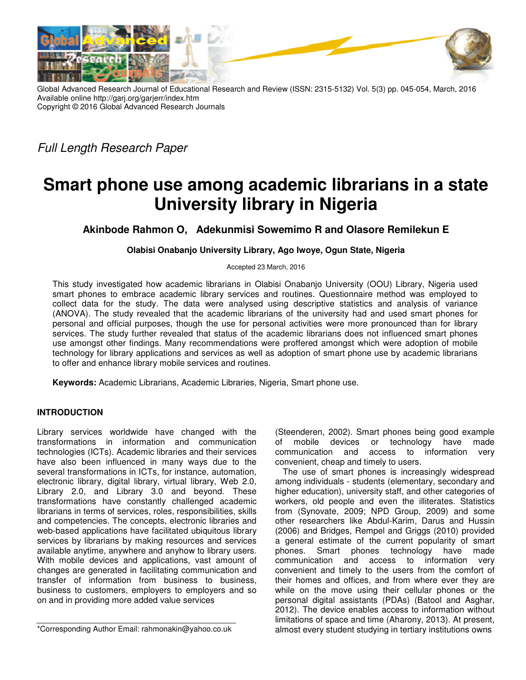

Global Advanced Research Journal of Educational Research and Review (ISSN: 2315-5132) Vol. 5(3) pp. 045-054, March, 2016 Available online http://garj.org/garjerr/index.htm Copyright © 2016 Global Advanced Research Journals

*Full Length Research Paper* 

# **Smart phone use among academic librarians in a state University library in Nigeria**

**Akinbode Rahmon O, Adekunmisi Sowemimo R and Olasore Remilekun E** 

# **Olabisi Onabanjo University Library, Ago Iwoye, Ogun State, Nigeria**

Accepted 23 March, 2016

This study investigated how academic librarians in Olabisi Onabanjo University (OOU) Library, Nigeria used smart phones to embrace academic library services and routines. Questionnaire method was employed to collect data for the study. The data were analysed using descriptive statistics and analysis of variance (ANOVA). The study revealed that the academic librarians of the university had and used smart phones for personal and official purposes, though the use for personal activities were more pronounced than for library services. The study further revealed that status of the academic librarians does not influenced smart phones use amongst other findings. Many recommendations were proffered amongst which were adoption of mobile technology for library applications and services as well as adoption of smart phone use by academic librarians to offer and enhance library mobile services and routines.

**Keywords:** Academic Librarians, Academic Libraries, Nigeria, Smart phone use.

## **INTRODUCTION**

Library services worldwide have changed with the transformations in information and communication technologies (ICTs). Academic libraries and their services have also been influenced in many ways due to the several transformations in ICTs, for instance, automation, electronic library, digital library, virtual library, Web 2.0, Library 2.0, and Library 3.0 and beyond. These transformations have constantly challenged academic librarians in terms of services, roles, responsibilities, skills and competencies. The concepts, electronic libraries and web-based applications have facilitated ubiquitous library services by librarians by making resources and services available anytime, anywhere and anyhow to library users. With mobile devices and applications, vast amount of changes are generated in facilitating communication and transfer of information from business to business, business to customers, employers to employers and so on and in providing more added value services

\*Corresponding Author Email: rahmonakin@yahoo.co.uk

(Steenderen, 2002). Smart phones being good example of mobile devices or technology have made communication and access to information very convenient, cheap and timely to users.

The use of smart phones is increasingly widespread among individuals - students (elementary, secondary and higher education), university staff, and other categories of workers, old people and even the illiterates. Statistics from (Synovate, 2009; NPD Group, 2009) and some other researchers like Abdul-Karim, Darus and Hussin (2006) and Bridges, Rempel and Griggs (2010) provided a general estimate of the current popularity of smart phones. Smart phones technology have made communication and access to information very convenient and timely to the users from the comfort of their homes and offices, and from where ever they are while on the move using their cellular phones or the personal digital assistants (PDAs) (Batool and Asghar, 2012). The device enables access to information without limitations of space and time (Aharony, 2013). At present, almost every student studying in tertiary institutions owns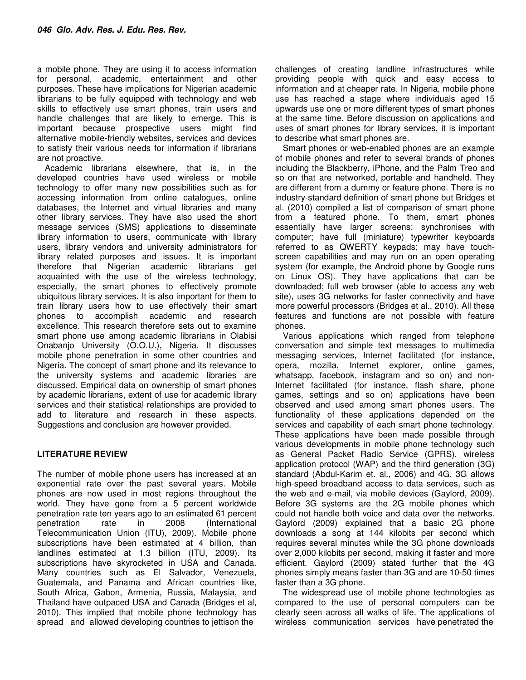a mobile phone. They are using it to access information for personal, academic, entertainment and other purposes. These have implications for Nigerian academic librarians to be fully equipped with technology and web skills to effectively use smart phones, train users and handle challenges that are likely to emerge. This is important because prospective users might find alternative mobile-friendly websites, services and devices to satisfy their various needs for information if librarians are not proactive.

Academic librarians elsewhere, that is, in the developed countries have used wireless or mobile technology to offer many new possibilities such as for accessing information from online catalogues, online databases, the Internet and virtual libraries and many other library services. They have also used the short message services (SMS) applications to disseminate library information to users, communicate with library users, library vendors and university administrators for library related purposes and issues. It is important therefore that Nigerian academic librarians get acquainted with the use of the wireless technology, especially, the smart phones to effectively promote ubiquitous library services. It is also important for them to train library users how to use effectively their smart phones to accomplish academic and research excellence. This research therefore sets out to examine smart phone use among academic librarians in Olabisi Onabanjo University (O.O.U.), Nigeria. It discusses mobile phone penetration in some other countries and Nigeria. The concept of smart phone and its relevance to the university systems and academic libraries are discussed. Empirical data on ownership of smart phones by academic librarians, extent of use for academic library services and their statistical relationships are provided to add to literature and research in these aspects. Suggestions and conclusion are however provided.

# **LITERATURE REVIEW**

The number of mobile phone users has increased at an exponential rate over the past several years. Mobile phones are now used in most regions throughout the world. They have gone from a 5 percent worldwide penetration rate ten years ago to an estimated 61 percent penetration rate in 2008 (International Telecommunication Union (ITU), 2009). Mobile phone subscriptions have been estimated at 4 billion, than landlines estimated at 1.3 billion (ITU, 2009). Its subscriptions have skyrocketed in USA and Canada. Many countries such as El Salvador, Venezuela, Guatemala, and Panama and African countries like, South Africa, Gabon, Armenia, Russia, Malaysia, and Thailand have outpaced USA and Canada (Bridges et al, 2010). This implied that mobile phone technology has spread and allowed developing countries to jettison the

challenges of creating landline infrastructures while providing people with quick and easy access to information and at cheaper rate. In Nigeria, mobile phone use has reached a stage where individuals aged 15 upwards use one or more different types of smart phones at the same time. Before discussion on applications and uses of smart phones for library services, it is important to describe what smart phones are.

Smart phones or web-enabled phones are an example of mobile phones and refer to several brands of phones including the Blackberry, iPhone, and the Palm Treo and so on that are networked, portable and handheld. They are different from a dummy or feature phone. There is no industry-standard definition of smart phone but Bridges et al. (2010) compiled a list of comparison of smart phone from a featured phone. To them, smart phones essentially have larger screens; synchronises with computer; have full (miniature) typewriter keyboards referred to as QWERTY keypads; may have touchscreen capabilities and may run on an open operating system (for example, the Android phone by Google runs on Linux OS). They have applications that can be downloaded; full web browser (able to access any web site), uses 3G networks for faster connectivity and have more powerful processors (Bridges et al., 2010). All these features and functions are not possible with feature phones.

Various applications which ranged from telephone conversation and simple text messages to multimedia messaging services, Internet facilitated (for instance, opera, mozilla, Internet explorer, online games, whatsapp, facebook, instagram and so on) and non-Internet facilitated (for instance, flash share, phone games, settings and so on) applications have been observed and used among smart phones users. The functionality of these applications depended on the services and capability of each smart phone technology. These applications have been made possible through various developments in mobile phone technology such as General Packet Radio Service (GPRS), wireless application protocol (WAP) and the third generation (3G) standard (Abdul-Karim et. al., 2006) and 4G. 3G allows high-speed broadband access to data services, such as the web and e-mail, via mobile devices (Gaylord, 2009). Before 3G systems are the 2G mobile phones which could not handle both voice and data over the networks. Gaylord (2009) explained that a basic 2G phone downloads a song at 144 kilobits per second which requires several minutes while the 3G phone downloads over 2,000 kilobits per second, making it faster and more efficient. Gaylord (2009) stated further that the 4G phones simply means faster than 3G and are 10-50 times faster than a 3G phone.

The widespread use of mobile phone technologies as compared to the use of personal computers can be clearly seen across all walks of life. The applications of wireless communication services have penetrated the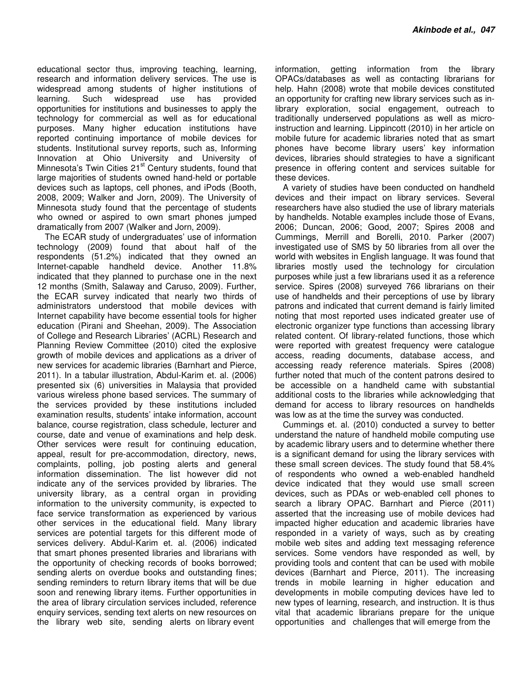educational sector thus, improving teaching, learning, research and information delivery services. The use is widespread among students of higher institutions of learning. Such widespread use has provided opportunities for institutions and businesses to apply the technology for commercial as well as for educational purposes. Many higher education institutions have reported continuing importance of mobile devices for students. Institutional survey reports, such as, Informing Innovation at Ohio University and University of Minnesota's Twin Cities 21<sup>st</sup> Century students, found that large majorities of students owned hand-held or portable devices such as laptops, cell phones, and iPods (Booth, 2008, 2009; Walker and Jorn, 2009). The University of Minnesota study found that the percentage of students who owned or aspired to own smart phones jumped dramatically from 2007 (Walker and Jorn, 2009).

The ECAR study of undergraduates' use of information technology (2009) found that about half of the respondents (51.2%) indicated that they owned an Internet-capable handheld device. Another 11.8% indicated that they planned to purchase one in the next 12 months (Smith, Salaway and Caruso, 2009). Further, the ECAR survey indicated that nearly two thirds of administrators understood that mobile devices with Internet capability have become essential tools for higher education (Pirani and Sheehan, 2009). The Association of College and Research Libraries' (ACRL) Research and Planning Review Committee (2010) cited the explosive growth of mobile devices and applications as a driver of new services for academic libraries (Barnhart and Pierce, 2011). In a tabular illustration, Abdul-Karim et. al. (2006) presented six (6) universities in Malaysia that provided various wireless phone based services. The summary of the services provided by these institutions included examination results, students' intake information, account balance, course registration, class schedule, lecturer and course, date and venue of examinations and help desk. Other services were result for continuing education, appeal, result for pre-accommodation, directory, news, complaints, polling, job posting alerts and general information dissemination. The list however did not indicate any of the services provided by libraries. The university library, as a central organ in providing information to the university community, is expected to face service transformation as experienced by various other services in the educational field. Many library services are potential targets for this different mode of services delivery. Abdul-Karim et. al. (2006) indicated that smart phones presented libraries and librarians with the opportunity of checking records of books borrowed; sending alerts on overdue books and outstanding fines; sending reminders to return library items that will be due soon and renewing library items. Further opportunities in the area of library circulation services included, reference enquiry services, sending text alerts on new resources on the library web site, sending alerts on library event

information, getting information from the library OPACs/databases as well as contacting librarians for help. Hahn (2008) wrote that mobile devices constituted an opportunity for crafting new library services such as inlibrary exploration, social engagement, outreach to traditionally underserved populations as well as microinstruction and learning. Lippincott (2010) in her article on mobile future for academic libraries noted that as smart phones have become library users' key information devices, libraries should strategies to have a significant presence in offering content and services suitable for these devices.

A variety of studies have been conducted on handheld devices and their impact on library services. Several researchers have also studied the use of library materials by handhelds. Notable examples include those of Evans, 2006; Duncan, 2006; Good, 2007; Spires 2008 and Cummings, Merrill and Borelli, 2010. Parker (2007) investigated use of SMS by 50 libraries from all over the world with websites in English language. It was found that libraries mostly used the technology for circulation purposes while just a few librarians used it as a reference service. Spires (2008) surveyed 766 librarians on their use of handhelds and their perceptions of use by library patrons and indicated that current demand is fairly limited noting that most reported uses indicated greater use of electronic organizer type functions than accessing library related content. Of library-related functions, those which were reported with greatest frequency were catalogue access, reading documents, database access, and accessing ready reference materials. Spires (2008) further noted that much of the content patrons desired to be accessible on a handheld came with substantial additional costs to the libraries while acknowledging that demand for access to library resources on handhelds was low as at the time the survey was conducted.

Cummings et. al. (2010) conducted a survey to better understand the nature of handheld mobile computing use by academic library users and to determine whether there is a significant demand for using the library services with these small screen devices. The study found that 58.4% of respondents who owned a web-enabled handheld device indicated that they would use small screen devices, such as PDAs or web-enabled cell phones to search a library OPAC. Barnhart and Pierce (2011) asserted that the increasing use of mobile devices had impacted higher education and academic libraries have responded in a variety of ways, such as by creating mobile web sites and adding text messaging reference services. Some vendors have responded as well, by providing tools and content that can be used with mobile devices (Barnhart and Pierce, 2011). The increasing trends in mobile learning in higher education and developments in mobile computing devices have led to new types of learning, research, and instruction. It is thus vital that academic librarians prepare for the unique opportunities and challenges that will emerge from the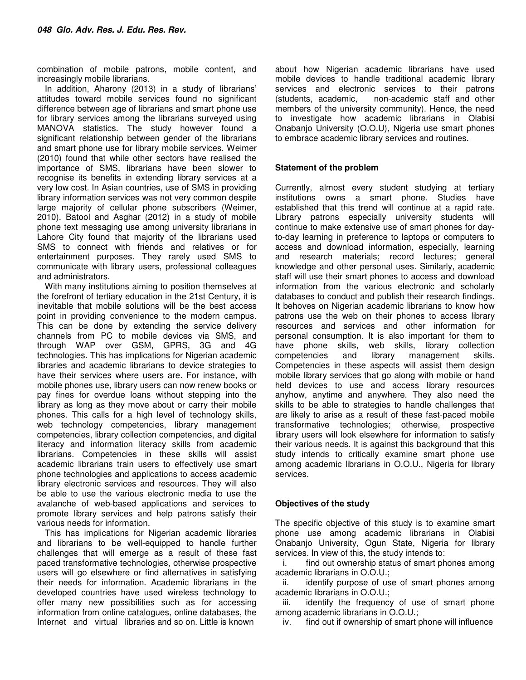combination of mobile patrons, mobile content, and increasingly mobile librarians.

In addition, Aharony (2013) in a study of librarians' attitudes toward mobile services found no significant difference between age of librarians and smart phone use for library services among the librarians surveyed using MANOVA statistics. The study however found a significant relationship between gender of the librarians and smart phone use for library mobile services. Weimer (2010) found that while other sectors have realised the importance of SMS, librarians have been slower to recognise its benefits in extending library services at a very low cost. In Asian countries, use of SMS in providing library information services was not very common despite large majority of cellular phone subscribers (Weimer, 2010). Batool and Asghar (2012) in a study of mobile phone text messaging use among university librarians in Lahore City found that majority of the librarians used SMS to connect with friends and relatives or for entertainment purposes. They rarely used SMS to communicate with library users, professional colleagues and administrators.

With many institutions aiming to position themselves at the forefront of tertiary education in the 21st Century, it is inevitable that mobile solutions will be the best access point in providing convenience to the modern campus. This can be done by extending the service delivery channels from PC to mobile devices via SMS, and through WAP over GSM, GPRS, 3G and 4G technologies. This has implications for Nigerian academic libraries and academic librarians to device strategies to have their services where users are. For instance, with mobile phones use, library users can now renew books or pay fines for overdue loans without stepping into the library as long as they move about or carry their mobile phones. This calls for a high level of technology skills, web technology competencies, library management competencies, library collection competencies, and digital literacy and information literacy skills from academic librarians. Competencies in these skills will assist academic librarians train users to effectively use smart phone technologies and applications to access academic library electronic services and resources. They will also be able to use the various electronic media to use the avalanche of web-based applications and services to promote library services and help patrons satisfy their various needs for information.

This has implications for Nigerian academic libraries and librarians to be well-equipped to handle further challenges that will emerge as a result of these fast paced transformative technologies, otherwise prospective users will go elsewhere or find alternatives in satisfying their needs for information. Academic librarians in the developed countries have used wireless technology to offer many new possibilities such as for accessing information from online catalogues, online databases, the Internet and virtual libraries and so on. Little is known

about how Nigerian academic librarians have used mobile devices to handle traditional academic library services and electronic services to their patrons (students, academic, non-academic staff and other members of the university community). Hence, the need to investigate how academic librarians in Olabisi Onabanjo University (O.O.U), Nigeria use smart phones to embrace academic library services and routines.

## **Statement of the problem**

Currently, almost every student studying at tertiary institutions owns a smart phone. Studies have established that this trend will continue at a rapid rate. Library patrons especially university students will continue to make extensive use of smart phones for dayto-day learning in preference to laptops or computers to access and download information, especially, learning and research materials; record lectures; general knowledge and other personal uses. Similarly, academic staff will use their smart phones to access and download information from the various electronic and scholarly databases to conduct and publish their research findings. It behoves on Nigerian academic librarians to know how patrons use the web on their phones to access library resources and services and other information for personal consumption. It is also important for them to have phone skills, web skills, library collection competencies and library management skills. Competencies in these aspects will assist them design mobile library services that go along with mobile or hand held devices to use and access library resources anyhow, anytime and anywhere. They also need the skills to be able to strategies to handle challenges that are likely to arise as a result of these fast-paced mobile transformative technologies; otherwise, prospective library users will look elsewhere for information to satisfy their various needs. It is against this background that this study intends to critically examine smart phone use among academic librarians in O.O.U., Nigeria for library services.

## **Objectives of the study**

The specific objective of this study is to examine smart phone use among academic librarians in Olabisi Onabanjo University, Ogun State, Nigeria for library services. In view of this, the study intends to:

i. find out ownership status of smart phones among academic librarians in O.O.U.;

ii. identify purpose of use of smart phones among academic librarians in O.O.U.;

iii. identify the frequency of use of smart phone among academic librarians in O.O.U.;

iv. find out if ownership of smart phone will influence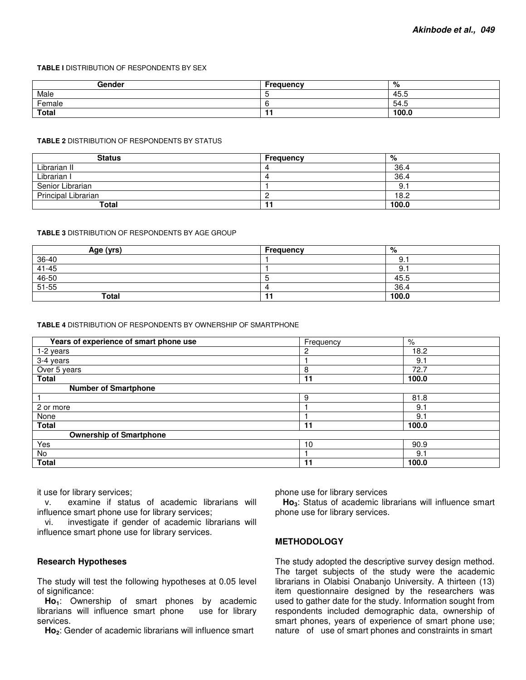#### **TABLE I** DISTRIBUTION OF RESPONDENTS BY SEX

| Gender | <b>Frequency</b> | %     |
|--------|------------------|-------|
| Male   |                  | 45.5  |
| Female |                  | 54.5  |
| Total  |                  | 100.0 |

#### **TABLE 2** DISTRIBUTION OF RESPONDENTS BY STATUS

| <b>Status</b>       | <b>Frequency</b> | %     |
|---------------------|------------------|-------|
| Librarian II        |                  | 36.4  |
| Librarian I         |                  | 36.4  |
| Senior Librarian    |                  |       |
| Principal Librarian |                  | 18.2  |
| Total               |                  | 100.0 |

#### **TABLE 3** DISTRIBUTION OF RESPONDENTS BY AGE GROUP

| Age (yrs)         | Frequency | %     |
|-------------------|-----------|-------|
| 36-40             |           | ະ.    |
| $41 - 45$         |           | э.    |
| $46 - 50$         |           | 45.5  |
| $\frac{1}{51-55}$ |           | 36.4  |
| <b>Total</b>      |           | 100.0 |

#### **TABLE 4** DISTRIBUTION OF RESPONDENTS BY OWNERSHIP OF SMARTPHONE

| Years of experience of smart phone use | Frequency | %     |
|----------------------------------------|-----------|-------|
| 1-2 years                              | 2         | 18.2  |
| 3-4 years                              |           | 9.1   |
| Over 5 years                           | 8         | 72.7  |
| <b>Total</b>                           | 11        | 100.0 |
| <b>Number of Smartphone</b>            |           |       |
|                                        | 9         | 81.8  |
| 2 or more                              |           | 9.1   |
| None                                   |           | 9.1   |
| <b>Total</b>                           | 11        | 100.0 |
| <b>Ownership of Smartphone</b>         |           |       |
| Yes                                    | 10        | 90.9  |
| No                                     |           | 9.1   |
| <b>Total</b>                           | 11        | 100.0 |

it use for library services;

v. examine if status of academic librarians will influence smart phone use for library services;

vi. investigate if gender of academic librarians will influence smart phone use for library services.

### **Research Hypotheses**

The study will test the following hypotheses at 0.05 level of significance:

**Ho1**: Ownership of smart phones by academic librarians will influence smart phone services.

**Ho2**: Gender of academic librarians will influence smart

phone use for library services

**Ho3**: Status of academic librarians will influence smart phone use for library services.

#### **METHODOLOGY**

The study adopted the descriptive survey design method. The target subjects of the study were the academic librarians in Olabisi Onabanjo University. A thirteen (13) item questionnaire designed by the researchers was used to gather date for the study. Information sought from respondents included demographic data, ownership of smart phones, years of experience of smart phone use; nature of use of smart phones and constraints in smart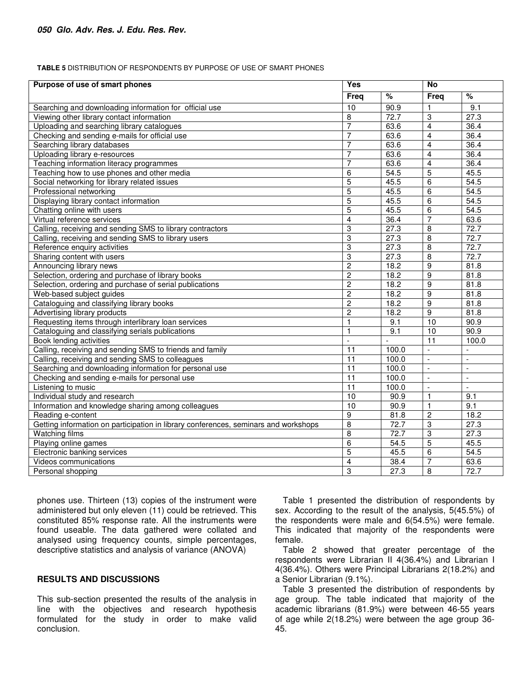#### **TABLE 5** DISTRIBUTION OF RESPONDENTS BY PURPOSE OF USE OF SMART PHONES

| Purpose of use of smart phones                                                      | Yes             |                   | <b>No</b>           |                          |
|-------------------------------------------------------------------------------------|-----------------|-------------------|---------------------|--------------------------|
|                                                                                     | <b>Freq</b>     | %                 | <b>Freq</b>         | %                        |
| Searching and downloading information for official use                              | 10              | 90.9              | 1                   | 9.1                      |
| Viewing other library contact information                                           | 8               | 72.7              | 3                   | $\overline{27.3}$        |
| Uploading and searching library catalogues                                          | 7               | 63.6              | $\overline{4}$      | 36.4                     |
| Checking and sending e-mails for official use                                       | 7               | 63.6              | $\overline{4}$      | 36.4                     |
| Searching library databases                                                         | $\overline{7}$  | 63.6              | $\overline{4}$      | 36.4                     |
| Uploading library e-resources                                                       | $\overline{7}$  | 63.6              | 4                   | 36.4                     |
| Teaching information literacy programmes                                            | $\overline{7}$  | 63.6              | $\overline{4}$      | 36.4                     |
| Teaching how to use phones and other media                                          | 6               | 54.5              | $\overline{5}$      | 45.5                     |
| Social networking for library related issues                                        | 5               | 45.5              | $\overline{6}$      | 54.5                     |
| Professional networking                                                             | 5               | 45.5              | 6                   | 54.5                     |
| Displaying library contact information                                              | $\overline{5}$  | 45.5              | 6                   | 54.5                     |
| Chatting online with users                                                          | 5               | 45.5              | $\overline{6}$      | $\overline{54.5}$        |
| Virtual reference services                                                          | $\overline{4}$  | 36.4              | 7                   | 63.6                     |
| Calling, receiving and sending SMS to library contractors                           | 3               | $\overline{27.3}$ | 8                   | 72.7                     |
| Calling, receiving and sending SMS to library users                                 | 3               | $\overline{27.3}$ | 8                   | 72.7                     |
| Reference enquiry activities                                                        | $\overline{3}$  | 27.3              | $\overline{8}$      | 72.7                     |
| Sharing content with users                                                          | 3               | 27.3              | 8                   | 72.7                     |
| Announcing library news                                                             | $\overline{2}$  | 18.2              | $\overline{9}$      | 81.8                     |
| Selection, ordering and purchase of library books                                   | $\overline{c}$  | 18.2              | 9                   | 81.8                     |
| Selection, ordering and purchase of serial publications                             | $\overline{2}$  | 18.2              | $\overline{9}$      | 81.8                     |
| Web-based subject guides                                                            | $\overline{2}$  | 18.2              | 9                   | 81.8                     |
| Cataloguing and classifying library books                                           | $\overline{c}$  | 18.2              | 9                   | 81.8                     |
| Advertising library products                                                        | $\overline{c}$  | 18.2              | $\overline{9}$      | 81.8                     |
| Requesting items through interlibrary loan services                                 | $\mathbf{1}$    | 9.1               | $\overline{10}$     | 90.9                     |
| Cataloguing and classifying serials publications                                    | $\mathbf{1}$    | 9.1               | 10                  | 90.9                     |
| Book lending activities                                                             | $\overline{a}$  |                   | 11                  | 100.0                    |
| Calling, receiving and sending SMS to friends and family                            | $\overline{11}$ | 100.0             | $\blacksquare$      | $\overline{a}$           |
| Calling, receiving and sending SMS to colleagues                                    | $\overline{11}$ | 100.0             | $\Box$              | $\overline{a}$           |
| Searching and downloading information for personal use                              | $\overline{11}$ | 100.0             | $\bar{\phantom{a}}$ | $\overline{\phantom{a}}$ |
| Checking and sending e-mails for personal use                                       | 11              | 100.0             | $\blacksquare$      | ÷.                       |
| Listening to music                                                                  | $\overline{11}$ | 100.0             | $\blacksquare$      | $\blacksquare$           |
| Individual study and research                                                       | 10              | 90.9              | 1                   | 9.1                      |
| Information and knowledge sharing among colleagues                                  | 10              | 90.9              | 1                   | 9.1                      |
| Reading e-content                                                                   | 9               | 81.8              | $\boldsymbol{2}$    | 18.2                     |
| Getting information on participation in library conferences, seminars and workshops | 8               | 72.7              | $\overline{3}$      | 27.3                     |
| <b>Watching films</b>                                                               | 8               | 72.7              | 3                   | 27.3                     |
| Playing online games                                                                | 6               | $\overline{54.5}$ | $\overline{5}$      | 45.5                     |
| Electronic banking services                                                         | $\overline{5}$  | 45.5              | 6                   | 54.5                     |
| Videos communications                                                               | 4               | 38.4              | 7                   | 63.6                     |
| Personal shopping                                                                   | 3               | $\overline{27.3}$ | 8                   | 72.7                     |

phones use. Thirteen (13) copies of the instrument were administered but only eleven (11) could be retrieved. This constituted 85% response rate. All the instruments were found useable. The data gathered were collated and analysed using frequency counts, simple percentages, descriptive statistics and analysis of variance (ANOVA)

## **RESULTS AND DISCUSSIONS**

This sub-section presented the results of the analysis in line with the objectives and research hypothesis formulated for the study in order to make valid conclusion.

Table 1 presented the distribution of respondents by sex. According to the result of the analysis, 5(45.5%) of the respondents were male and 6(54.5%) were female. This indicated that majority of the respondents were female.

Table 2 showed that greater percentage of the respondents were Librarian II 4(36.4%) and Librarian I 4(36.4%). Others were Principal Librarians 2(18.2%) and a Senior Librarian (9.1%).

Table 3 presented the distribution of respondents by age group. The table indicated that majority of the academic librarians (81.9%) were between 46-55 years of age while 2(18.2%) were between the age group 36- 45.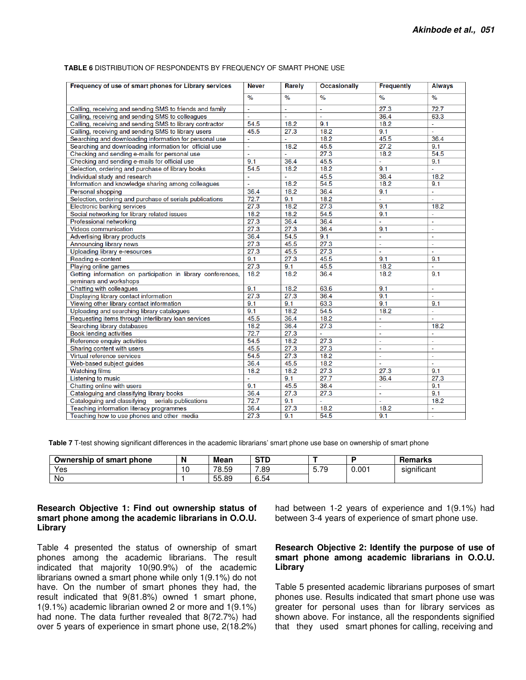| Frequency of use of smart phones for Library services        | <b>Never</b>  | <b>Rarely</b> | <b>Occasionally</b> | <b>Frequently</b> | <b>Always</b>            |
|--------------------------------------------------------------|---------------|---------------|---------------------|-------------------|--------------------------|
|                                                              | $\frac{9}{6}$ | $\frac{9}{6}$ | $\%$                | $\frac{9}{6}$     | $\frac{1}{\sqrt{2}}$     |
| Calling, receiving and sending SMS to friends and family     | $\mathbf{r}$  | ÷.            | $\sim$              | 27.3              | 72.7                     |
| Calling, receiving and sending SMS to colleagues             | ä,            | ÷.            | $\sim$              | 36.4              | 63.3                     |
| Calling, receiving and sending SMS to library contractor     | 54.5          | 18.2          | 9.1                 | 18.2              | $\mathbf{r}$             |
| Calling, receiving and sending SMS to library users          | 45.5          | 27.3          | 18.2                | 9.1               | $\overline{\phantom{a}}$ |
| Searching and downloading information for personal use       | L,            | ä,            | 18.2                | 45.5              | 36.4                     |
| Searching and downloading information for official use       | ä,            | 18.2          | 45.5                | 27.2              | 9.1                      |
| Checking and sending e-mails for personal use                | ä,            | $\mathbf{r}$  | 27.3                | 18.2              | 54.5                     |
| Checking and sending e-mails for official use                | 9.1           | 36.4          | 45.5                | ÷,                | 9.1                      |
| Selection, ordering and purchase of library books            | 54.5          | 18.2          | 18.2                | 9.1               | ä,                       |
| Individual study and research                                | ä,            | $\mathbf{r}$  | 45.5                | 36.4              | 18.2                     |
| Information and knowledge sharing among colleagues           | ä,            | 18.2          | 54.5                | 18.2              | 9.1                      |
| Personal shopping                                            | 36.4          | 18.2          | 36.4                | 9.1               | ä,                       |
| Selection, ordering and purchase of serials publications     | 72.7          | 9.1           | 18.2                | ÷.                |                          |
| Electronic banking services                                  | 27.3          | 18.2          | 27.3                | 9.1               | 18.2                     |
| Social networking for library related issues                 | 18.2          | 18.2          | 54.5                | 9.1               |                          |
| Professional networking                                      | 27.3          | 36.4          | 36.4                | L.                | ä,                       |
| Videos communication                                         | 27.3          | 27.3          | 36.4                | 9.1               | $\bar{\phantom{a}}$      |
| Advertising library products                                 | 36.4          | 54.5          | 9.1                 | $\sim$            | $\mathbf{r}$             |
| Announcing library news                                      | 27.3          | 45.5          | 27.3                | ä,                | ä,                       |
| Uploading library e-resources                                | 27.3          | 45.5          | 27.3                | ä,                | L.                       |
| Reading e-content                                            | 9.1           | 27.3          | 45.5                | 9.1               | 9.1                      |
| Plaving online games                                         | 27.3          | 9.1           | 45.5                | 18.2              | L.                       |
| Getting information on participation in library conferences, | 18.2          | 18.2          | 36.4                | 18.2              | 9.1                      |
| seminars and workshops                                       |               |               |                     |                   |                          |
| Chatting with colleagues                                     | 9.1           | 18.2          | 63.6                | 9.1               | $\overline{\phantom{a}}$ |
| Displaying library contact information                       | 27.3          | 27.3          | 36.4                | 9.1               | $\mathbf{r}$             |
| Viewing other library contact information                    | 9.1           | 9.1           | 63.3                | 9.1               | 9.1                      |
| Uploading and searching library catalogues                   | 9.1           | 18.2          | 54.5                | 18.2              | ä,                       |
| Requesting items through interlibrary loan services          | 45.5          | 36.4          | 18.2                | $\sim$            | ÷.                       |
| Searching library databases                                  | 18.2          | 36.4          | 27.3                | $\mathbf{r}$      | 18.2                     |
| <b>Book lending activities</b>                               | 72.7          | 27.3          | $\omega$            | $\blacksquare$    | ä,                       |
| Reference enquiry activities                                 | 54.5          | 18.2          | 27.3                | $\sim$            | $\blacksquare$           |
| Sharing content with users                                   | 45.5          | 27.3          | 27.3                | $\overline{a}$    | $\overline{a}$           |
| Virtual reference services                                   | 54.5          | 27.3          | 18.2                | $\omega$          | u,                       |
| Web-based subject guides                                     | 36.4          | 45.5          | 18.2                | $\sim$            | ä,                       |
| <b>Watching films</b>                                        | 18.2          | 18.2          | 27.3                | 27.3              | 9.1                      |
| Listening to music                                           |               | 9.1           | 27.7                | 36.4              | 27.3                     |
| Chatting online with users                                   | 9.1           | 45.5          | 36.4                | u.                | 9.1                      |
| Cataloguing and classifying library books                    | 36.4          | 27.3          | 27.3                | $\omega$          | 9.1                      |
| Cataloguing and classifying serials publications             | 72.7          | 9.1           | ÷.                  | $\mathbf{r}$      | 18.2                     |
| Teaching information literacy programmes                     | 36.4          | 27.3          | 18.2                | 18.2              | $\mathbf{r}$             |
| Teaching how to use phones and other media                   | 27.3          | 9.1           | 54.5                | 9.1               | $\sim$                   |

#### **TABLE 6** DISTRIBUTION OF RESPONDENTS BY FREQUENCY OF SMART PHONE USE

**Table 7** T-test showing significant differences in the academic librarians' smart phone use base on ownership of smart phone

| Ownership of smart phone | N | <b>Mean</b> | $\sim$ TD<br>31 L |      |         | Remarks                 |
|--------------------------|---|-------------|-------------------|------|---------|-------------------------|
| Yes                      | ٥ | 78.59       | 7.89              | 5.79 | $0.00+$ | $\cdots$<br>significant |
| No                       |   | 55.89       | 6.54              |      |         |                         |

## **Research Objective 1: Find out ownership status of smart phone among the academic librarians in O.O.U. Library**

Table 4 presented the status of ownership of smart phones among the academic librarians. The result indicated that majority 10(90.9%) of the academic librarians owned a smart phone while only 1(9.1%) do not have. On the number of smart phones they had, the result indicated that 9(81.8%) owned 1 smart phone, 1(9.1%) academic librarian owned 2 or more and 1(9.1%) had none. The data further revealed that 8(72.7%) had over 5 years of experience in smart phone use, 2(18.2%)

had between 1-2 years of experience and 1(9.1%) had between 3-4 years of experience of smart phone use.

## **Research Objective 2: Identify the purpose of use of smart phone among academic librarians in O.O.U. Library**

Table 5 presented academic librarians purposes of smart phones use. Results indicated that smart phone use was greater for personal uses than for library services as shown above. For instance, all the respondents signified that they used smart phones for calling, receiving and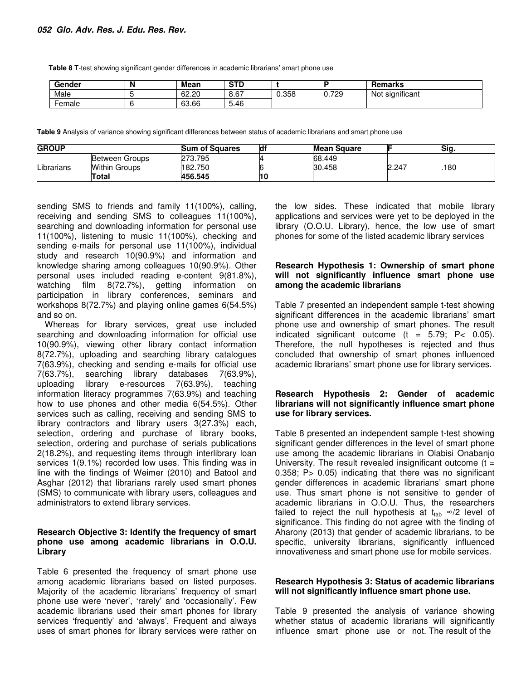**Table 8** T-test showing significant gender differences in academic librarians' smart phone use

| Gender | N | Mean  | <b>STD</b> |       |       | <b>Remarks</b>              |
|--------|---|-------|------------|-------|-------|-----------------------------|
| Male   |   | 62.20 | 8.67       | 0.358 | 0.729 | $\cdots$<br>Not significant |
| Female |   | 63.66 | 5.46       |       |       |                             |

**Table 9** Analysis of variance showing significant differences between status of academic librarians and smart phone use

| <b>GROUP</b> |                      | <b>Sum of Squares</b> | ld | <b>Mean Square</b> |       | Sig. |  |
|--------------|----------------------|-----------------------|----|--------------------|-------|------|--|
|              | Between Groups       | 273.795               |    | 68.449             |       |      |  |
| Librarians   | <b>Within Groups</b> | 182.750               |    | 30.458             | 2.247 | 180  |  |
|              | Total                | 456.545               |    |                    |       |      |  |

sending SMS to friends and family 11(100%), calling, receiving and sending SMS to colleagues 11(100%), searching and downloading information for personal use 11(100%), listening to music 11(100%), checking and sending e-mails for personal use 11(100%), individual study and research 10(90.9%) and information and knowledge sharing among colleagues 10(90.9%). Other personal uses included reading e-content 9(81.8%), watching film 8(72.7%), getting information on participation in library conferences, seminars and workshops 8(72.7%) and playing online games 6(54.5%) and so on.

Whereas for library services, great use included searching and downloading information for official use 10(90.9%), viewing other library contact information 8(72.7%), uploading and searching library catalogues 7(63.9%), checking and sending e-mails for official use 7(63.7%), searching library databases 7(63.9%), uploading library e-resources 7(63.9%), teaching information literacy programmes 7(63.9%) and teaching how to use phones and other media 6(54.5%). Other services such as calling, receiving and sending SMS to library contractors and library users 3(27.3%) each, selection, ordering and purchase of library books, selection, ordering and purchase of serials publications 2(18.2%), and requesting items through interlibrary loan services 1(9.1%) recorded low uses. This finding was in line with the findings of Weimer (2010) and Batool and Asghar (2012) that librarians rarely used smart phones (SMS) to communicate with library users, colleagues and administrators to extend library services.

## **Research Objective 3: Identify the frequency of smart phone use among academic librarians in O.O.U. Library**

Table 6 presented the frequency of smart phone use among academic librarians based on listed purposes. Majority of the academic librarians' frequency of smart phone use were 'never', 'rarely' and 'occasionally'. Few academic librarians used their smart phones for library services 'frequently' and 'always'. Frequent and always uses of smart phones for library services were rather on

the low sides. These indicated that mobile library applications and services were yet to be deployed in the library (O.O.U. Library), hence, the low use of smart phones for some of the listed academic library services

## **Research Hypothesis 1: Ownership of smart phone will not significantly influence smart phone use among the academic librarians**

Table 7 presented an independent sample t-test showing significant differences in the academic librarians' smart phone use and ownership of smart phones. The result indicated significant outcome  $(t = 5.79; P < 0.05)$ . Therefore, the null hypotheses is rejected and thus concluded that ownership of smart phones influenced academic librarians' smart phone use for library services.

## **Research Hypothesis 2: Gender of academic librarians will not significantly influence smart phone use for library services.**

Table 8 presented an independent sample t-test showing significant gender differences in the level of smart phone use among the academic librarians in Olabisi Onabanjo University. The result revealed insignificant outcome  $(t =$ 0.358; P> 0.05) indicating that there was no significant gender differences in academic librarians' smart phone use. Thus smart phone is not sensitive to gender of academic librarians in O.O.U. Thus, the researchers failed to reject the null hypothesis at  $t<sub>tab</sub> \approx /2$  level of significance. This finding do not agree with the finding of Aharony (2013) that gender of academic librarians, to be specific, university librarians, significantly influenced innovativeness and smart phone use for mobile services.

#### **Research Hypothesis 3: Status of academic librarians will not significantly influence smart phone use.**

Table 9 presented the analysis of variance showing whether status of academic librarians will significantly influence smart phone use or not. The result of the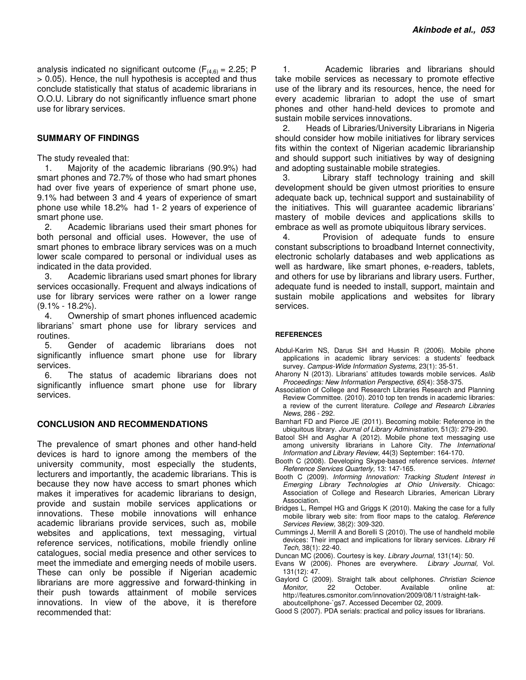analysis indicated no significant outcome ( $F_{(4,6)} = 2.25$ ; P > 0.05). Hence, the null hypothesis is accepted and thus conclude statistically that status of academic librarians in O.O.U. Library do not significantly influence smart phone use for library services.

#### **SUMMARY OF FINDINGS**

The study revealed that:

1. Majority of the academic librarians (90.9%) had smart phones and 72.7% of those who had smart phones had over five years of experience of smart phone use, 9.1% had between 3 and 4 years of experience of smart phone use while 18.2% had 1- 2 years of experience of smart phone use.

2. Academic librarians used their smart phones for both personal and official uses. However, the use of smart phones to embrace library services was on a much lower scale compared to personal or individual uses as indicated in the data provided.

3. Academic librarians used smart phones for library services occasionally. Frequent and always indications of use for library services were rather on a lower range  $(9.1\% - 18.2\%).$ 

4. Ownership of smart phones influenced academic librarians' smart phone use for library services and routines.

5. Gender of academic librarians does not significantly influence smart phone use for library services.

6. The status of academic librarians does not significantly influence smart phone use for library services.

#### **CONCLUSION AND RECOMMENDATIONS**

The prevalence of smart phones and other hand-held devices is hard to ignore among the members of the university community, most especially the students, lecturers and importantly, the academic librarians. This is because they now have access to smart phones which makes it imperatives for academic librarians to design, provide and sustain mobile services applications or innovations. These mobile innovations will enhance academic librarians provide services, such as, mobile websites and applications, text messaging, virtual reference services, notifications, mobile friendly online catalogues, social media presence and other services to meet the immediate and emerging needs of mobile users. These can only be possible if Nigerian academic librarians are more aggressive and forward-thinking in their push towards attainment of mobile services innovations. In view of the above, it is therefore recommended that:

1. Academic libraries and librarians should take mobile services as necessary to promote effective use of the library and its resources, hence, the need for every academic librarian to adopt the use of smart phones and other hand-held devices to promote and sustain mobile services innovations.

2. Heads of Libraries/University Librarians in Nigeria should consider how mobile initiatives for library services fits within the context of Nigerian academic librarianship and should support such initiatives by way of designing and adopting sustainable mobile strategies.

3. Library staff technology training and skill development should be given utmost priorities to ensure adequate back up, technical support and sustainability of the initiatives. This will guarantee academic librarians' mastery of mobile devices and applications skills to embrace as well as promote ubiquitous library services.

4. Provision of adequate funds to ensure constant subscriptions to broadband Internet connectivity, electronic scholarly databases and web applications as well as hardware, like smart phones, e-readers, tablets, and others for use by librarians and library users. Further, adequate fund is needed to install, support, maintain and sustain mobile applications and websites for library services.

#### **REFERENCES**

- Abdul-Karim NS, Darus SH and Hussin R (2006). Mobile phone applications in academic library services: a students' feedback survey. *Campus-Wide Information Systems*, 23(1): 35-51.
- Aharony N (2013). Librarians' attitudes towards mobile services. *Aslib Proceedings: New Information Perspective, 65*(4): 358-375.
- Association of College and Research Libraries Research and Planning Review Committee. (2010). 2010 top ten trends in academic libraries: a review of the current literature. *College and Research Libraries News*, 286 - 292.
- Barnhart FD and Pierce JE (2011). Becoming mobile: Reference in the ubiquitous library. *Journal of Library Administration,* 51(3): 279-290.
- Batool SH and Asghar A (2012). Mobile phone text messaging use among university librarians in Lahore City. *The International Information and Library Review*, 44(3) September: 164-170.
- Booth C (2008). Developing Skype-based reference services. *Internet Reference Services Quarterly,* 13: 147-165.
- Booth C (2009). *Informing Innovation: Tracking Student Interest in Emerging Library Technologies at Ohio University.* Chicago: Association of College and Research Libraries, American Library Association.
- Bridges L, Rempel HG and Griggs K (2010). Making the case for a fully mobile library web site: from floor maps to the catalog. *Reference Services Review,* 38(2): 309-320.
- Cummings J, Merrill A and Borelli S (2010). The use of handheld mobile devices: Their impact and implications for library services. *Library Hi Tech,* 38(1): 22-40.
- Duncan MC (2006). Courtesy is key. *Library Journal,* 131(14): 50.
- Evans W (2006). Phones are everywhere. *Library Journal,* Vol. 131(12): 47.
- Gaylord C (2009). Straight talk about cellphones. *Christian Science Monitor,* 22 October. Available online at: http://features.csmonitor.com/innovation/2009/08/11/straight-talkaboutcellphone-`gs7. Accessed December 02, 2009.
- Good S (2007). PDA serials: practical and policy issues for librarians.